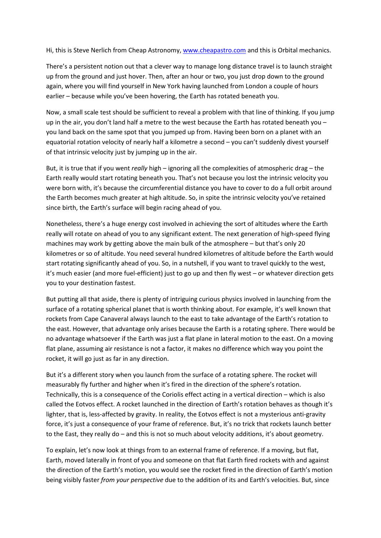Hi, this is Steve Nerlich from Cheap Astronomy, www.cheapastro.com and this is Orbital mechanics.

There's a persistent notion out that a clever way to manage long distance travel is to launch straight up from the ground and just hover. Then, after an hour or two, you just drop down to the ground again, where you will find yourself in New York having launched from London a couple of hours earlier – because while you've been hovering, the Earth has rotated beneath you.

Now, a small scale test should be sufficient to reveal a problem with that line of thinking. If you jump up in the air, you don't land half a metre to the west because the Earth has rotated beneath you – you land back on the same spot that you jumped up from. Having been born on a planet with an equatorial rotation velocity of nearly half a kilometre a second – you can't suddenly divest yourself of that intrinsic velocity just by jumping up in the air.

But, it is true that if you went *really* high – ignoring all the complexities of atmospheric drag – the Earth really would start rotating beneath you. That's not because you lost the intrinsic velocity you were born with, it's because the circumferential distance you have to cover to do a full orbit around the Earth becomes much greater at high altitude. So, in spite the intrinsic velocity you've retained since birth, the Earth's surface will begin racing ahead of you.

Nonetheless, there's a huge energy cost involved in achieving the sort of altitudes where the Earth really will rotate on ahead of you to any significant extent. The next generation of high-speed flying machines may work by getting above the main bulk of the atmosphere – but that's only 20 kilometres or so of altitude. You need several hundred kilometres of altitude before the Earth would start rotating significantly ahead of you. So, in a nutshell, if you want to travel quickly to the west, it's much easier (and more fuel-efficient) just to go up and then fly west – or whatever direction gets you to your destination fastest.

But putting all that aside, there is plenty of intriguing curious physics involved in launching from the surface of a rotating spherical planet that is worth thinking about. For example, it's well known that rockets from Cape Canaveral always launch to the east to take advantage of the Earth's rotation to the east. However, that advantage only arises because the Earth is a rotating sphere. There would be no advantage whatsoever if the Earth was just a flat plane in lateral motion to the east. On a moving flat plane, assuming air resistance is not a factor, it makes no difference which way you point the rocket, it will go just as far in any direction.

But it's a different story when you launch from the surface of a rotating sphere. The rocket will measurably fly further and higher when it's fired in the direction of the sphere's rotation. Technically, this is a consequence of the Coriolis effect acting in a vertical direction – which is also called the Eotvos effect. A rocket launched in the direction of Earth's rotation behaves as though it's lighter, that is, less-affected by gravity. In reality, the Eotvos effect is not a mysterious anti-gravity force, it's just a consequence of your frame of reference. But, it's no trick that rockets launch better to the East, they really do – and this is not so much about velocity additions, it's about geometry.

To explain, let's now look at things from to an external frame of reference. If a moving, but flat, Earth, moved laterally in front of you and someone on that flat Earth fired rockets with and against the direction of the Earth's motion, you would see the rocket fired in the direction of Earth's motion being visibly faster *from your perspective* due to the addition of its and Earth's velocities. But, since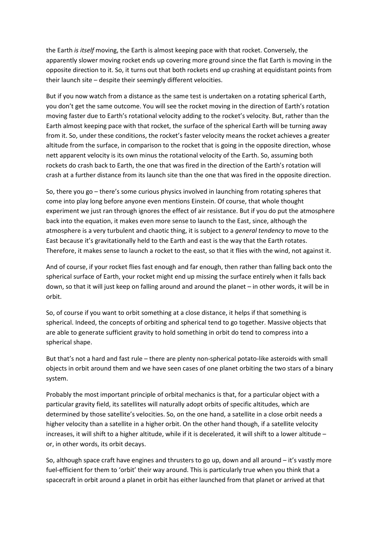the Earth *is itself* moving, the Earth is almost keeping pace with that rocket. Conversely, the apparently slower moving rocket ends up covering more ground since the flat Earth is moving in the opposite direction to it. So, it turns out that both rockets end up crashing at equidistant points from their launch site – despite their seemingly different velocities.

But if you now watch from a distance as the same test is undertaken on a rotating spherical Earth, you don't get the same outcome. You will see the rocket moving in the direction of Earth's rotation moving faster due to Earth's rotational velocity adding to the rocket's velocity. But, rather than the Earth almost keeping pace with that rocket, the surface of the spherical Earth will be turning away from it. So, under these conditions, the rocket's faster velocity means the rocket achieves a greater altitude from the surface, in comparison to the rocket that is going in the opposite direction, whose nett apparent velocity is its own minus the rotational velocity of the Earth. So, assuming both rockets do crash back to Earth, the one that was fired in the direction of the Earth's rotation will crash at a further distance from its launch site than the one that was fired in the opposite direction.

So, there you go – there's some curious physics involved in launching from rotating spheres that come into play long before anyone even mentions Einstein. Of course, that whole thought experiment we just ran through ignores the effect of air resistance. But if you do put the atmosphere back into the equation, it makes even more sense to launch to the East, since, although the atmosphere is a very turbulent and chaotic thing, it is subject to a *general tendency* to move to the East because it's gravitationally held to the Earth and east is the way that the Earth rotates. Therefore, it makes sense to launch a rocket to the east, so that it flies with the wind, not against it.

And of course, if your rocket flies fast enough and far enough, then rather than falling back onto the spherical surface of Earth, your rocket might end up missing the surface entirely when it falls back down, so that it will just keep on falling around and around the planet – in other words, it will be in orbit.

So, of course if you want to orbit something at a close distance, it helps if that something is spherical. Indeed, the concepts of orbiting and spherical tend to go together. Massive objects that are able to generate sufficient gravity to hold something in orbit do tend to compress into a spherical shape.

But that's not a hard and fast rule – there are plenty non-spherical potato-like asteroids with small objects in orbit around them and we have seen cases of one planet orbiting the two stars of a binary system.

Probably the most important principle of orbital mechanics is that, for a particular object with a particular gravity field, its satellites will naturally adopt orbits of specific altitudes, which are determined by those satellite's velocities. So, on the one hand, a satellite in a close orbit needs a higher velocity than a satellite in a higher orbit. On the other hand though, if a satellite velocity increases, it will shift to a higher altitude, while if it is decelerated, it will shift to a lower altitude – or, in other words, its orbit decays.

So, although space craft have engines and thrusters to go up, down and all around – it's vastly more fuel-efficient for them to 'orbit' their way around. This is particularly true when you think that a spacecraft in orbit around a planet in orbit has either launched from that planet or arrived at that